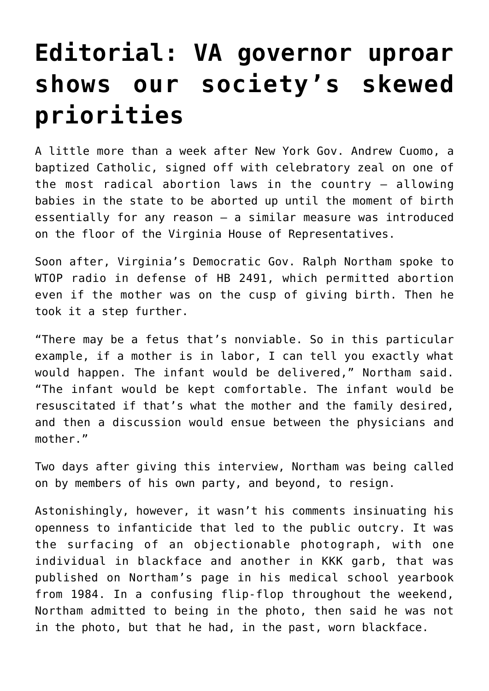## **[Editorial: VA governor uproar](https://www.osvnews.com/2019/02/07/editorial-va-governor-uproar-shows-our-societys-skewed-priorities/) [shows our society's skewed](https://www.osvnews.com/2019/02/07/editorial-va-governor-uproar-shows-our-societys-skewed-priorities/) [priorities](https://www.osvnews.com/2019/02/07/editorial-va-governor-uproar-shows-our-societys-skewed-priorities/)**

A little more than a week after New York Gov. Andrew Cuomo, a baptized Catholic, signed off with celebratory zeal on one of the most radical abortion laws in the country — allowing babies in the state to be aborted up until the moment of birth essentially for any reason — a similar measure was introduced on the floor of the Virginia House of Representatives.

Soon after, Virginia's Democratic Gov. Ralph Northam spoke to WTOP radio in defense of HB 2491, which permitted abortion even if the mother was on the cusp of giving birth. Then he took it a step further.

"There may be a fetus that's nonviable. So in this particular example, if a mother is in labor, I can tell you exactly what would happen. The infant would be delivered," Northam said. "The infant would be kept comfortable. The infant would be resuscitated if that's what the mother and the family desired, and then a discussion would ensue between the physicians and mother."

Two days after giving this interview, Northam was being called on by members of his own party, and beyond, to resign.

Astonishingly, however, it wasn't his comments insinuating his openness to infanticide that led to the public outcry. It was the surfacing of an objectionable photograph, with one individual in blackface and another in KKK garb, that was published on Northam's page in his medical school yearbook from 1984. In a confusing flip-flop throughout the weekend, Northam admitted to being in the photo, then said he was not in the photo, but that he had, in the past, worn blackface.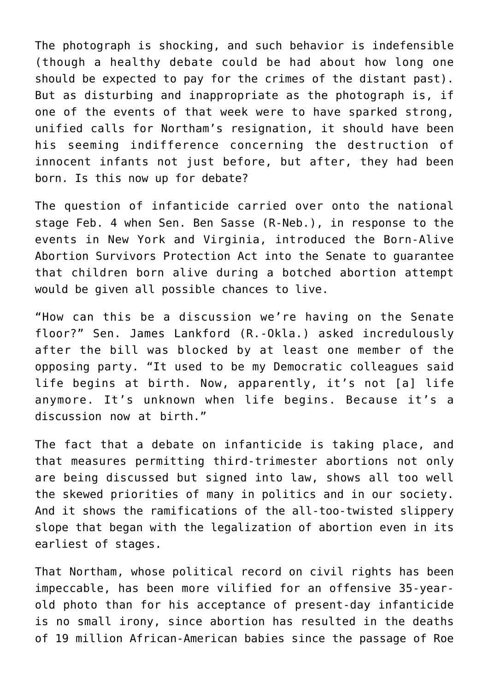The photograph is shocking, and such behavior is indefensible (though a healthy debate could be had about how long one should be expected to pay for the crimes of the distant past). But as disturbing and inappropriate as the photograph is, if one of the events of that week were to have sparked strong, unified calls for Northam's resignation, it should have been his seeming indifference concerning the destruction of innocent infants not just before, but after, they had been born. Is this now up for debate?

The question of infanticide carried over onto the national stage Feb. 4 when Sen. Ben Sasse (R-Neb.), in response to the events in New York and Virginia, introduced the Born-Alive Abortion Survivors Protection Act into the Senate to guarantee that children born alive during a botched abortion attempt would be given all possible chances to live.

"How can this be a discussion we're having on the Senate floor?" Sen. James Lankford (R.-Okla.) asked incredulously after the bill was blocked by at least one member of the opposing party. "It used to be my Democratic colleagues said life begins at birth. Now, apparently, it's not [a] life anymore. It's unknown when life begins. Because it's a discussion now at birth."

The fact that a debate on infanticide is taking place, and that measures permitting third-trimester abortions not only are being discussed but signed into law, shows all too well the skewed priorities of many in politics and in our society. And it shows the ramifications of the all-too-twisted slippery slope that began with the legalization of abortion even in its earliest of stages.

That Northam, whose political record on civil rights has been impeccable, has been more vilified for an offensive 35-yearold photo than for his acceptance of present-day infanticide is no small irony, since abortion has resulted in the deaths of 19 million African-American babies since the passage of Roe